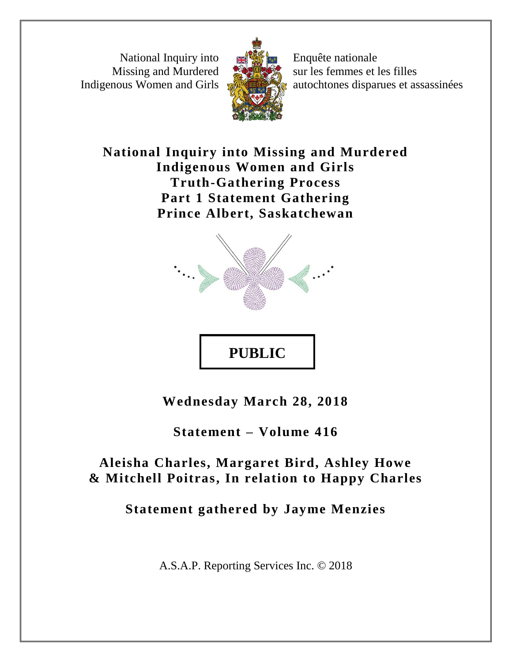National Inquiry into Missing and Murdered Indigenous Women and Girls



Enquête nationale sur les femmes et les filles autochtones disparues et assassinées

**National Inquiry into Missing and Murdered Indigenous Women and Girls Truth-Gathering Process Part 1 Statement Gathering Prince Albert, Saskatchewan**



**Wednesday March 28, 2018** 

**PUBLIC**

**Statement – Volume 416**

**Aleisha Charles, Margaret Bird, Ashley Howe & Mitchell Poitras, In relation to Happy Charles**

**Statement gathered by Jayme Menzies**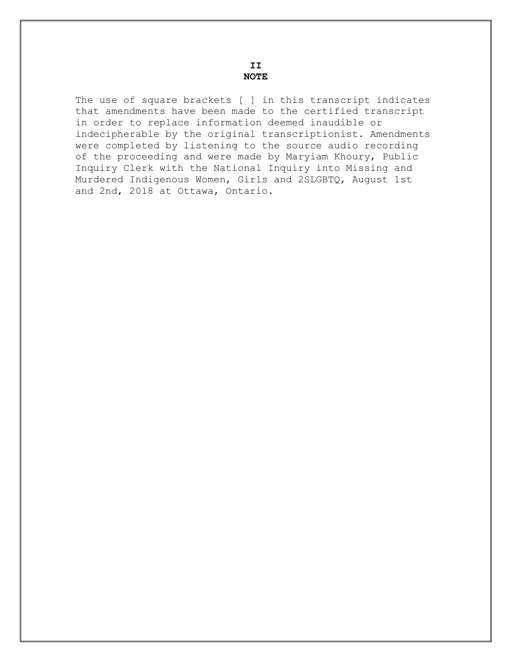**II NOTE**

The use of square brackets [ ] in this transcript indicates that amendments have been made to the certified transcript in order to replace information deemed inaudible or indecipherable by the original transcriptionist. Amendments were completed by listening to the source audio recording of the proceeding and were made by Maryiam Khoury, Public Inquiry Clerk with the National Inquiry into Missing and Murdered Indigenous Women, Girls and 2SLGBTQ, August 1st and 2nd, 2018 at Ottawa, Ontario.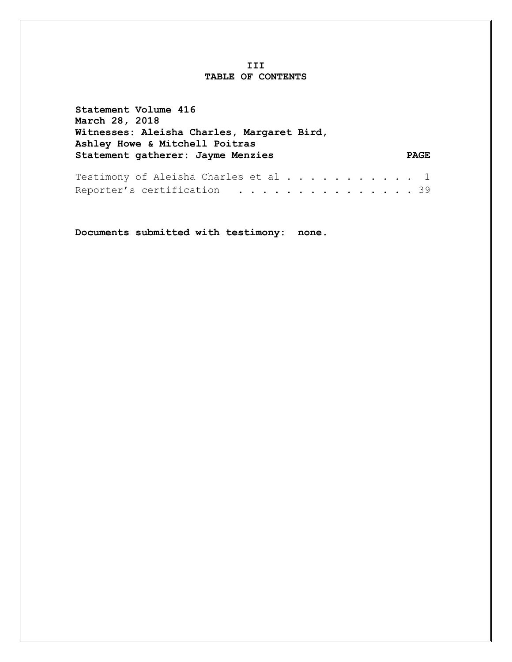#### **III TABLE OF CONTENTS**

| Statement Volume 416                                                         |             |
|------------------------------------------------------------------------------|-------------|
| <b>March 28, 2018</b>                                                        |             |
| Witnesses: Aleisha Charles, Margaret Bird,<br>Ashley Howe & Mitchell Poitras |             |
| Statement gatherer: Jayme Menzies                                            | <b>PAGE</b> |
| Testimony of Aleisha Charles et al 1                                         |             |
| Reporter's certification $\ldots \ldots \ldots \ldots \ldots \ldots$         |             |

**Documents submitted with testimony: none.**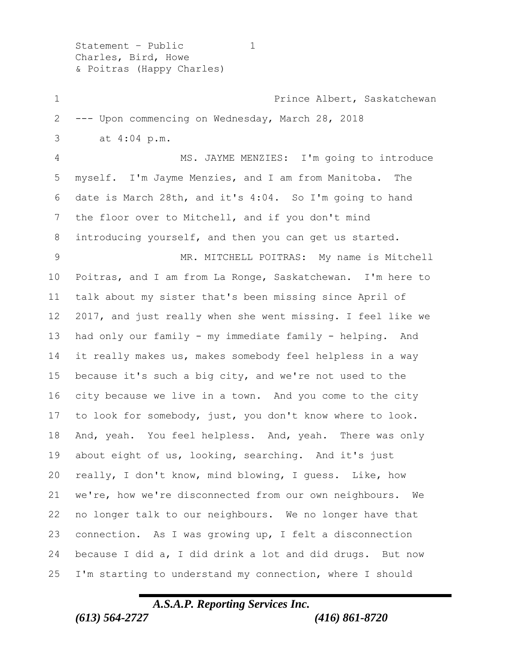Statement - Public 1 Charles, Bird, Howe & Poitras (Happy Charles)

 Prince Albert, Saskatchewan --- Upon commencing on Wednesday, March 28, 2018 3 at 4:04 p.m. MS. JAYME MENZIES: I'm going to introduce myself. I'm Jayme Menzies, and I am from Manitoba. The date is March 28th, and it's 4:04. So I'm going to hand the floor over to Mitchell, and if you don't mind introducing yourself, and then you can get us started. MR. MITCHELL POITRAS: My name is Mitchell Poitras, and I am from La Ronge, Saskatchewan. I'm here to talk about my sister that's been missing since April of 2017, and just really when she went missing. I feel like we had only our family - my immediate family - helping. And it really makes us, makes somebody feel helpless in a way because it's such a big city, and we're not used to the city because we live in a town. And you come to the city to look for somebody, just, you don't know where to look. And, yeah. You feel helpless. And, yeah. There was only about eight of us, looking, searching. And it's just really, I don't know, mind blowing, I guess. Like, how we're, how we're disconnected from our own neighbours. We no longer talk to our neighbours. We no longer have that connection. As I was growing up, I felt a disconnection because I did a, I did drink a lot and did drugs. But now I'm starting to understand my connection, where I should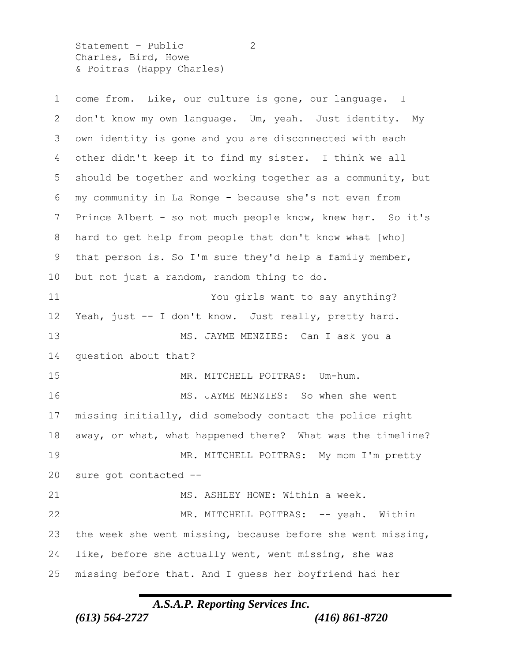Statement - Public 2 Charles, Bird, Howe & Poitras (Happy Charles)

| $\mathbf 1$     | come from. Like, our culture is gone, our language. I       |
|-----------------|-------------------------------------------------------------|
| 2               | don't know my own language. Um, yeah. Just identity. My     |
| 3               | own identity is gone and you are disconnected with each     |
| 4               | other didn't keep it to find my sister. I think we all      |
| 5               | should be together and working together as a community, but |
| 6               | my community in La Ronge - because she's not even from      |
| 7               | Prince Albert - so not much people know, knew her. So it's  |
| 8               | hard to get help from people that don't know what [who]     |
| 9               | that person is. So I'm sure they'd help a family member,    |
| 10 <sub>o</sub> | but not just a random, random thing to do.                  |
| 11              | You girls want to say anything?                             |
| 12 <sup>°</sup> | Yeah, just -- I don't know. Just really, pretty hard.       |
| 13              | MS. JAYME MENZIES: Can I ask you a                          |
| 14              | question about that?                                        |
| 15              | MR. MITCHELL POITRAS: Um-hum.                               |
| 16              | MS. JAYME MENZIES: So when she went                         |
| 17              | missing initially, did somebody contact the police right    |
| 18              | away, or what, what happened there? What was the timeline?  |
| 19              | MR. MITCHELL POITRAS: My mom I'm pretty                     |
| 20              | sure got contacted --                                       |
| 21              | MS. ASHLEY HOWE: Within a week.                             |
| 22              | MR. MITCHELL POITRAS: -- yeah. Within                       |
| 23              | the week she went missing, because before she went missing, |
| 24              | like, before she actually went, went missing, she was       |
| 25              | missing before that. And I guess her boyfriend had her      |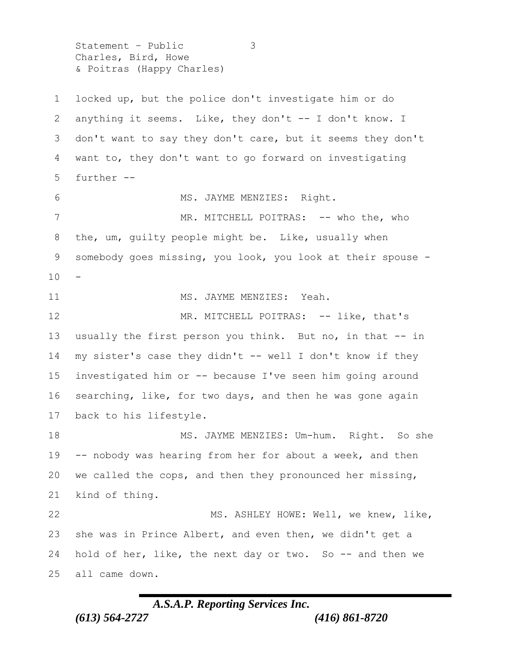Statement – Public 3 Charles, Bird, Howe & Poitras (Happy Charles)

 locked up, but the police don't investigate him or do anything it seems. Like, they don't -- I don't know. I don't want to say they don't care, but it seems they don't want to, they don't want to go forward on investigating further -- MS. JAYME MENZIES: Right. 7 MR. MITCHELL POITRAS: -- who the, who the, um, guilty people might be. Like, usually when somebody goes missing, you look, you look at their spouse - 11 MS. JAYME MENZIES: Yeah. 12 MR. MITCHELL POITRAS: -- like, that's usually the first person you think. But no, in that -- in my sister's case they didn't -- well I don't know if they investigated him or -- because I've seen him going around searching, like, for two days, and then he was gone again back to his lifestyle. 18 MS. JAYME MENZIES: Um-hum. Right. So she -- nobody was hearing from her for about a week, and then we called the cops, and then they pronounced her missing, kind of thing. 22 MS. ASHLEY HOWE: Well, we knew, like, she was in Prince Albert, and even then, we didn't get a hold of her, like, the next day or two. So -- and then we all came down.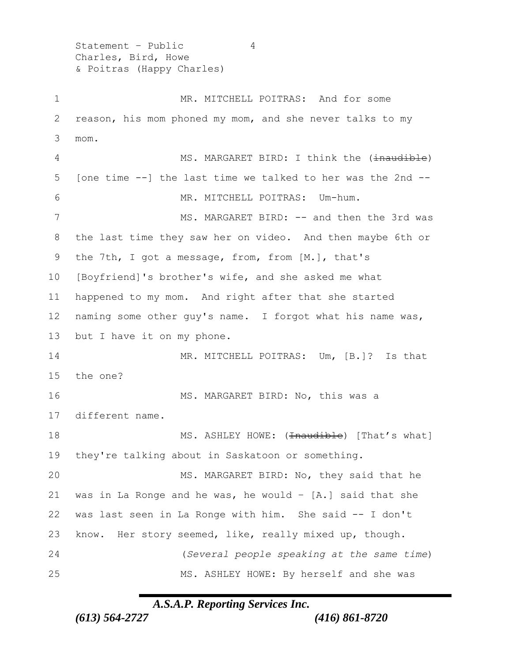Statement - Public 4 Charles, Bird, Howe & Poitras (Happy Charles)

1 MR. MITCHELL POITRAS: And for some 2 reason, his mom phoned my mom, and she never talks to my 3 mom. 4 MS. MARGARET BIRD: I think the (inaudible) 5 [one time --] the last time we talked to her was the 2nd -- 6 MR. MITCHELL POITRAS: Um-hum. 7 MS. MARGARET BIRD: -- and then the 3rd was 8 the last time they saw her on video. And then maybe 6th or 9 the 7th, I got a message, from, from [M.], that's 10 [Boyfriend]'s brother's wife, and she asked me what 11 happened to my mom. And right after that she started 12 naming some other guy's name. I forgot what his name was, 13 but I have it on my phone. 14 MR. MITCHELL POITRAS: Um, [B.]? Is that 15 the one? 16 MS. MARGARET BIRD: No, this was a 17 different name. 18 MS. ASHLEY HOWE: (<del>Inaudible</del>) [That's what] 19 they're talking about in Saskatoon or something. 20 MS. MARGARET BIRD: No, they said that he 21 was in La Ronge and he was, he would  $-$  [A.] said that she 22 was last seen in La Ronge with him. She said -- I don't 23 know. Her story seemed, like, really mixed up, though. 24 (*Several people speaking at the same time*) 25 MS. ASHLEY HOWE: By herself and she was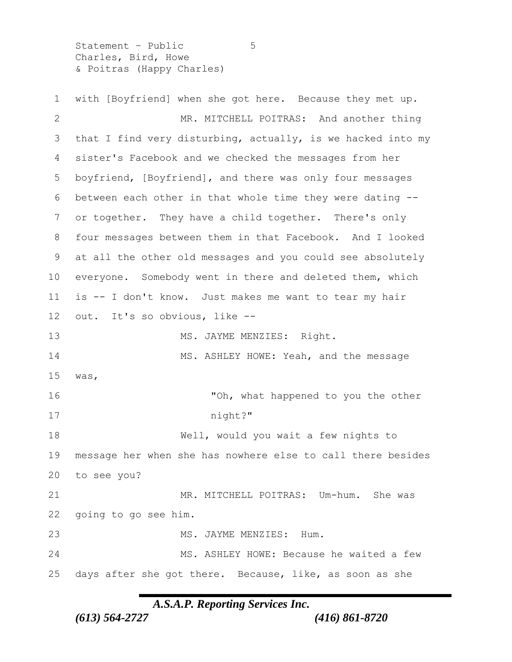Statement – Public 5 Charles, Bird, Howe & Poitras (Happy Charles)

 with [Boyfriend] when she got here. Because they met up. MR. MITCHELL POITRAS: And another thing 3 that I find very disturbing, actually, is we hacked into my sister's Facebook and we checked the messages from her boyfriend, [Boyfriend], and there was only four messages between each other in that whole time they were dating -- or together. They have a child together. There's only four messages between them in that Facebook. And I looked at all the other old messages and you could see absolutely everyone. Somebody went in there and deleted them, which is -- I don't know. Just makes me want to tear my hair out. It's so obvious, like -- 13 MS. JAYME MENZIES: Right. 14 MS. ASHLEY HOWE: Yeah, and the message was, 16 Th, what happened to you the other 17 night?" Well, would you wait a few nights to message her when she has nowhere else to call there besides to see you? MR. MITCHELL POITRAS: Um-hum. She was going to go see him. 23 MS. JAYME MENZIES: Hum. MS. ASHLEY HOWE: Because he waited a few days after she got there. Because, like, as soon as she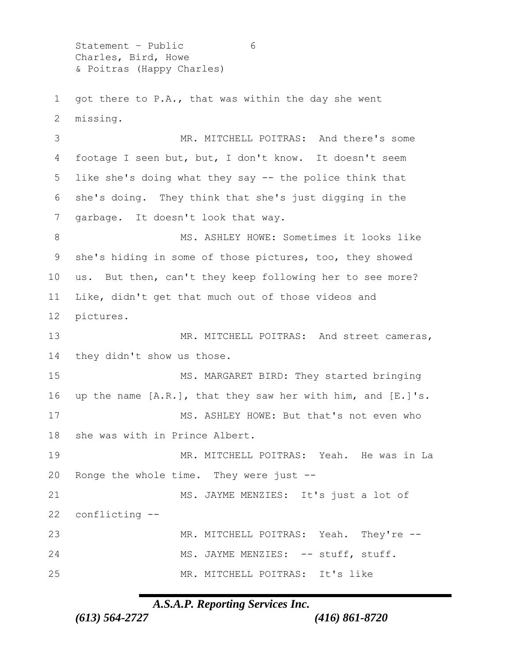Statement - Public 6 Charles, Bird, Howe & Poitras (Happy Charles)

 got there to P.A., that was within the day she went missing.

 MR. MITCHELL POITRAS: And there's some footage I seen but, but, I don't know. It doesn't seem like she's doing what they say -- the police think that she's doing. They think that she's just digging in the garbage. It doesn't look that way. 8 MS. ASHLEY HOWE: Sometimes it looks like she's hiding in some of those pictures, too, they showed

 us. But then, can't they keep following her to see more? Like, didn't get that much out of those videos and pictures.

13 MR. MITCHELL POITRAS: And street cameras, they didn't show us those. MS. MARGARET BIRD: They started bringing 16 up the name [A.R.], that they saw her with him, and [E.]'s. MS. ASHLEY HOWE: But that's not even who she was with in Prince Albert. MR. MITCHELL POITRAS: Yeah. He was in La Ronge the whole time. They were just -- MS. JAYME MENZIES: It's just a lot of conflicting -- MR. MITCHELL POITRAS: Yeah. They're -- 24 MS. JAYME MENZIES: -- stuff, stuff. MR. MITCHELL POITRAS: It's like

#### *A.S.A.P. Reporting Services Inc.*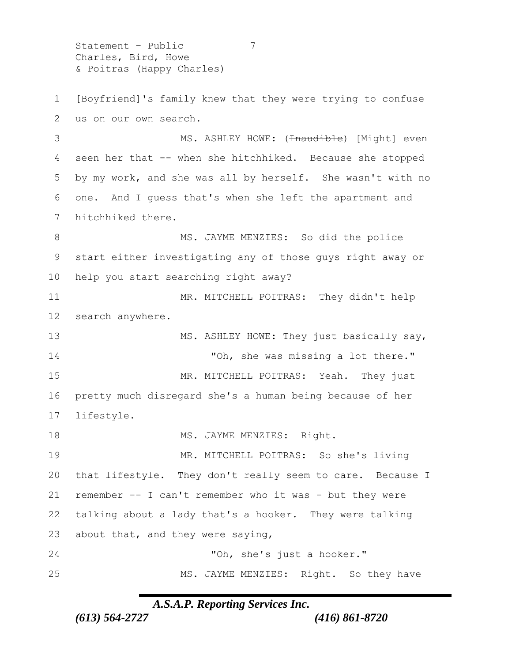Statement – Public 7 Charles, Bird, Howe & Poitras (Happy Charles)

 [Boyfriend]'s family knew that they were trying to confuse us on our own search. 3 MS. ASHLEY HOWE: (<del>Inaudible</del>) [Might] even seen her that -- when she hitchhiked. Because she stopped by my work, and she was all by herself. She wasn't with no one. And I guess that's when she left the apartment and hitchhiked there. 8 MS. JAYME MENZIES: So did the police start either investigating any of those guys right away or help you start searching right away? 11 MR. MITCHELL POITRAS: They didn't help search anywhere. 13 MS. ASHLEY HOWE: They just basically say, 14 TOh, she was missing a lot there." 15 MR. MITCHELL POITRAS: Yeah. They just pretty much disregard she's a human being because of her lifestyle. 18 MS. JAYME MENZIES: Right. MR. MITCHELL POITRAS: So she's living that lifestyle. They don't really seem to care. Because I remember -- I can't remember who it was - but they were talking about a lady that's a hooker. They were talking about that, and they were saying, "Oh, she's just a hooker." MS. JAYME MENZIES: Right. So they have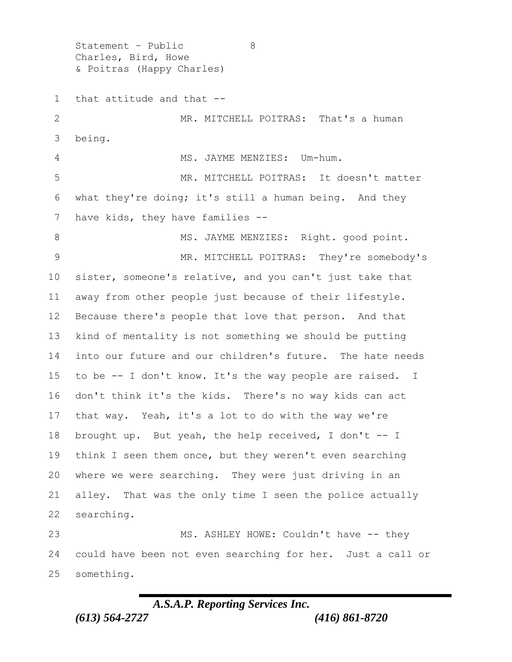Statement - Public 8 Charles, Bird, Howe & Poitras (Happy Charles) that attitude and that -- MR. MITCHELL POITRAS: That's a human being. MS. JAYME MENZIES: Um-hum. MR. MITCHELL POITRAS: It doesn't matter what they're doing; it's still a human being. And they have kids, they have families -- 8 MS. JAYME MENZIES: Right. good point. MR. MITCHELL POITRAS: They're somebody's sister, someone's relative, and you can't just take that away from other people just because of their lifestyle. Because there's people that love that person. And that kind of mentality is not something we should be putting into our future and our children's future. The hate needs to be -- I don't know. It's the way people are raised. I don't think it's the kids. There's no way kids can act that way. Yeah, it's a lot to do with the way we're brought up. But yeah, the help received, I don't -- I think I seen them once, but they weren't even searching where we were searching. They were just driving in an alley. That was the only time I seen the police actually searching. MS. ASHLEY HOWE: Couldn't have -- they could have been not even searching for her. Just a call or something.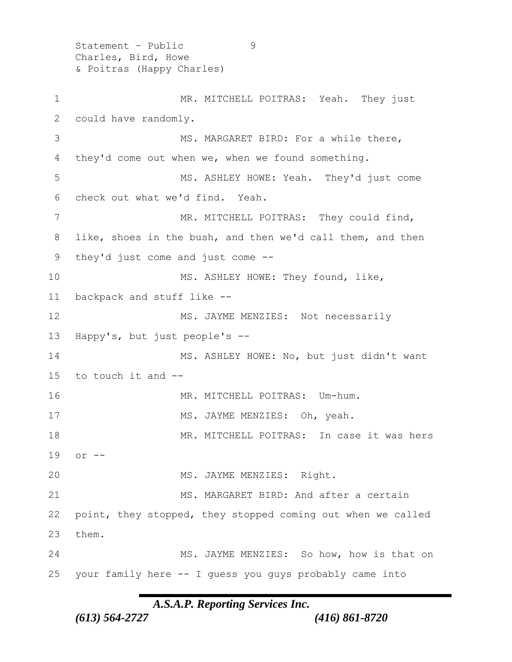Statement – Public 9 Charles, Bird, Howe & Poitras (Happy Charles)

1 MR. MITCHELL POITRAS: Yeah. They just 2 could have randomly. 3 MS. MARGARET BIRD: For a while there, 4 they'd come out when we, when we found something. 5 MS. ASHLEY HOWE: Yeah. They'd just come 6 check out what we'd find. Yeah. 7 MR. MITCHELL POITRAS: They could find, 8 like, shoes in the bush, and then we'd call them, and then 9 they'd just come and just come -- 10 MS. ASHLEY HOWE: They found, like, 11 backpack and stuff like -- 12 MS. JAYME MENZIES: Not necessarily 13 Happy's, but just people's -- 14 MS. ASHLEY HOWE: No, but just didn't want 15 to touch it and -- 16 MR. MITCHELL POITRAS: Um-hum. 17 MS. JAYME MENZIES: Oh, yeah. 18 MR. MITCHELL POITRAS: In case it was hers 19 or -- 20 MS. JAYME MENZIES: Right. 21 MS. MARGARET BIRD: And after a certain 22 point, they stopped, they stopped coming out when we called 23 them. 24 MS. JAYME MENZIES: So how, how is that on 25 your family here -- I guess you guys probably came into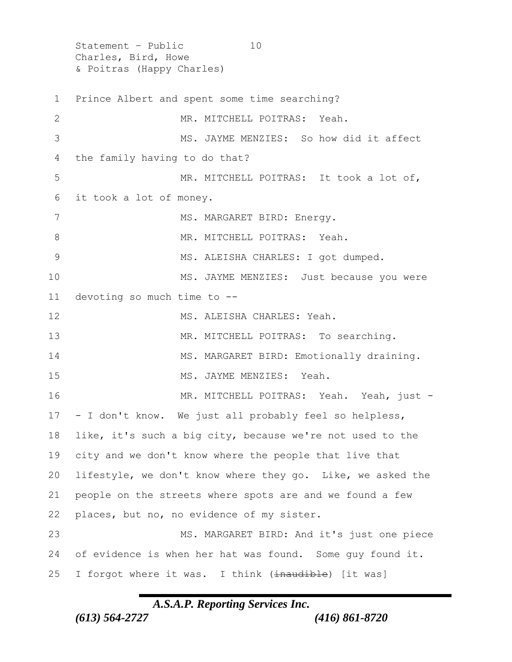Statement - Public 10 Charles, Bird, Howe & Poitras (Happy Charles) 1 Prince Albert and spent some time searching? 2 MR. MITCHELL POITRAS: Yeah. 3 MS. JAYME MENZIES: So how did it affect 4 the family having to do that? 5 MR. MITCHELL POITRAS: It took a lot of, 6 it took a lot of money. 7 MS. MARGARET BIRD: Energy. 8 MR. MITCHELL POITRAS: Yeah. 9 MS. ALEISHA CHARLES: I got dumped. 10 MS. JAYME MENZIES: Just because you were 11 devoting so much time to -- 12 MS. ALEISHA CHARLES: Yeah. 13 MR. MITCHELL POITRAS: To searching. 14 MS. MARGARET BIRD: Emotionally draining. 15 MS. JAYME MENZIES: Yeah. 16 MR. MITCHELL POITRAS: Yeah. Yeah, just -17 - I don't know. We just all probably feel so helpless, 18 like, it's such a big city, because we're not used to the 19 city and we don't know where the people that live that 20 lifestyle, we don't know where they go. Like, we asked the 21 people on the streets where spots are and we found a few 22 places, but no, no evidence of my sister. 23 MS. MARGARET BIRD: And it's just one piece 24 of evidence is when her hat was found. Some guy found it. 25 I forgot where it was. I think (inaudible) [it was]

### *A.S.A.P. Reporting Services Inc.*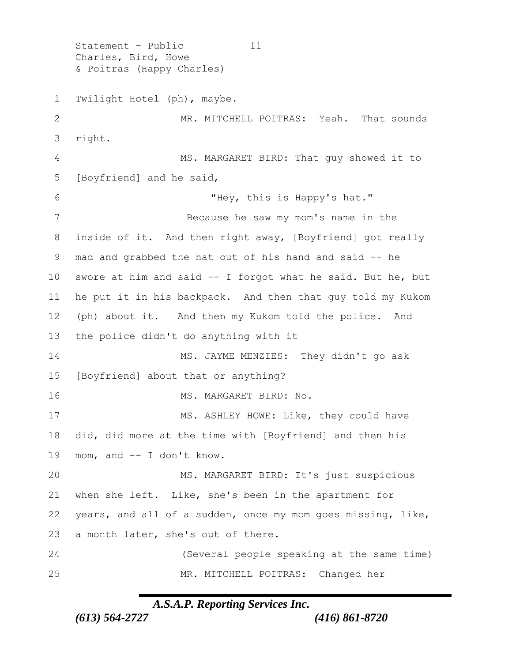Statement - Public 11 Charles, Bird, Howe & Poitras (Happy Charles) Twilight Hotel (ph), maybe. MR. MITCHELL POITRAS: Yeah. That sounds right. MS. MARGARET BIRD: That guy showed it to [Boyfriend] and he said, "Hey, this is Happy's hat." Because he saw my mom's name in the inside of it. And then right away, [Boyfriend] got really mad and grabbed the hat out of his hand and said -- he swore at him and said -- I forgot what he said. But he, but he put it in his backpack. And then that guy told my Kukom (ph) about it. And then my Kukom told the police. And the police didn't do anything with it MS. JAYME MENZIES: They didn't go ask [Boyfriend] about that or anything? 16 MS. MARGARET BIRD: No. 17 MS. ASHLEY HOWE: Like, they could have did, did more at the time with [Boyfriend] and then his mom, and -- I don't know. MS. MARGARET BIRD: It's just suspicious when she left. Like, she's been in the apartment for years, and all of a sudden, once my mom goes missing, like, a month later, she's out of there. (Several people speaking at the same time) MR. MITCHELL POITRAS: Changed her

# *A.S.A.P. Reporting Services Inc.*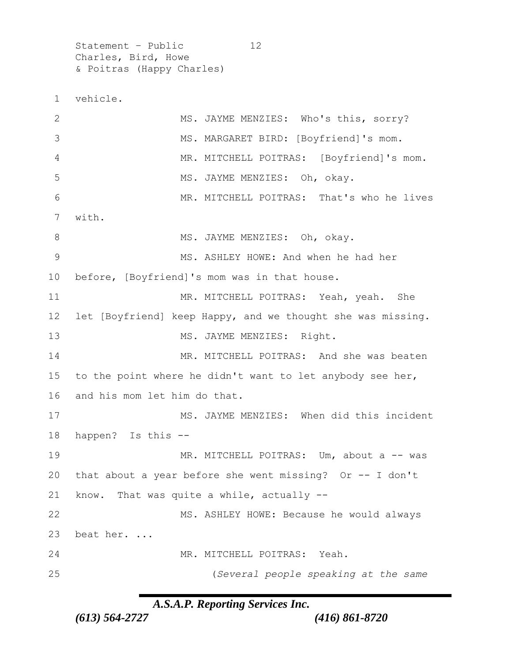Statement - Public 12 Charles, Bird, Howe & Poitras (Happy Charles)

1 vehicle. 2 MS. JAYME MENZIES: Who's this, sorry? 3 MS. MARGARET BIRD: [Boyfriend]'s mom. 4 MR. MITCHELL POITRAS: [Boyfriend]'s mom. 5 MS. JAYME MENZIES: Oh, okay. 6 MR. MITCHELL POITRAS: That's who he lives 7 with. 8 MS. JAYME MENZIES: Oh, okay. 9 MS. ASHLEY HOWE: And when he had her 10 before, [Boyfriend]'s mom was in that house. 11 MR. MITCHELL POITRAS: Yeah, yeah. She 12 let [Boyfriend] keep Happy, and we thought she was missing. 13 MS. JAYME MENZIES: Right. 14 MR. MITCHELL POITRAS: And she was beaten 15 to the point where he didn't want to let anybody see her, 16 and his mom let him do that. 17 MS. JAYME MENZIES: When did this incident 18 happen? Is this -- 19 MR. MITCHELL POITRAS: Um, about a -- was 20 that about a year before she went missing? Or -- I don't 21 know. That was quite a while, actually -- 22 MS. ASHLEY HOWE: Because he would always 23 beat her. ... 24 MR. MITCHELL POITRAS: Yeah. 25 (*Several people speaking at the same*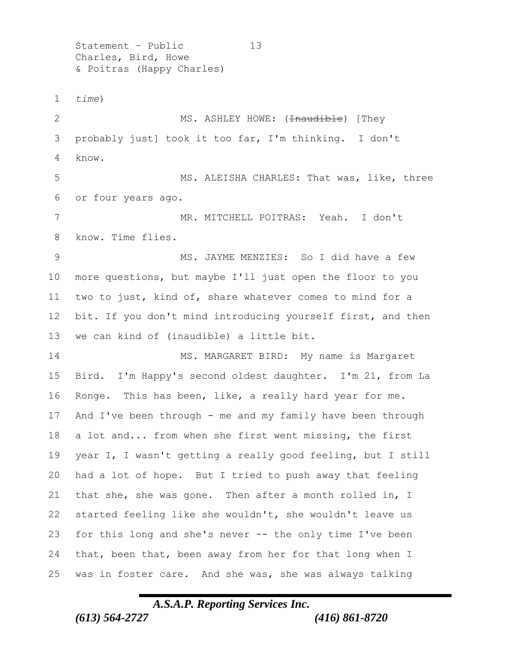Statement – Public 13 Charles, Bird, Howe & Poitras (Happy Charles) *time*) 2 MS. ASHLEY HOWE: (<del>Inaudible</del>) [They probably just] took it too far, I'm thinking. I don't know. 5 MS. ALEISHA CHARLES: That was, like, three or four years ago. MR. MITCHELL POITRAS: Yeah. I don't know. Time flies. MS. JAYME MENZIES: So I did have a few more questions, but maybe I'll just open the floor to you two to just, kind of, share whatever comes to mind for a bit. If you don't mind introducing yourself first, and then we can kind of (inaudible) a little bit. 14 MS. MARGARET BIRD: My name is Margaret Bird. I'm Happy's second oldest daughter. I'm 21, from La Ronge. This has been, like, a really hard year for me. And I've been through - me and my family have been through a lot and... from when she first went missing, the first year I, I wasn't getting a really good feeling, but I still had a lot of hope. But I tried to push away that feeling that she, she was gone. Then after a month rolled in, I started feeling like she wouldn't, she wouldn't leave us for this long and she's never -- the only time I've been that, been that, been away from her for that long when I was in foster care. And she was, she was always talking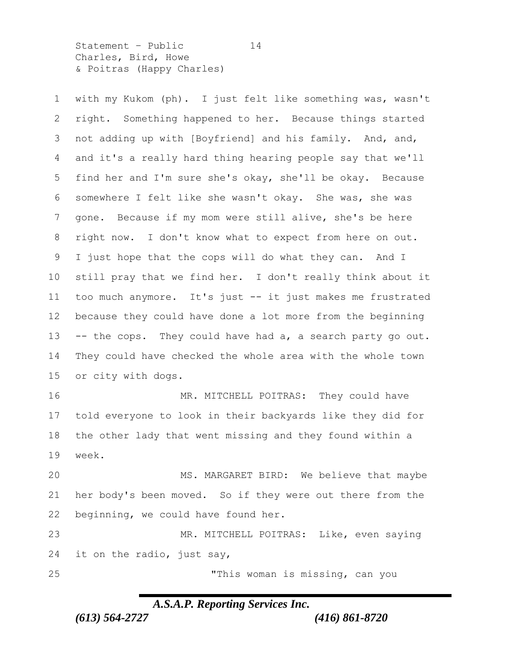Statement - Public 14 Charles, Bird, Howe & Poitras (Happy Charles)

 with my Kukom (ph). I just felt like something was, wasn't right. Something happened to her. Because things started not adding up with [Boyfriend] and his family. And, and, and it's a really hard thing hearing people say that we'll find her and I'm sure she's okay, she'll be okay. Because somewhere I felt like she wasn't okay. She was, she was gone. Because if my mom were still alive, she's be here right now. I don't know what to expect from here on out. I just hope that the cops will do what they can. And I still pray that we find her. I don't really think about it too much anymore. It's just -- it just makes me frustrated because they could have done a lot more from the beginning -- the cops. They could have had a, a search party go out. They could have checked the whole area with the whole town or city with dogs. 16 MR. MITCHELL POITRAS: They could have told everyone to look in their backyards like they did for

 the other lady that went missing and they found within a week.

 MS. MARGARET BIRD: We believe that maybe her body's been moved. So if they were out there from the beginning, we could have found her.

 MR. MITCHELL POITRAS: Like, even saying it on the radio, just say,

"This woman is missing, can you

# *A.S.A.P. Reporting Services Inc.*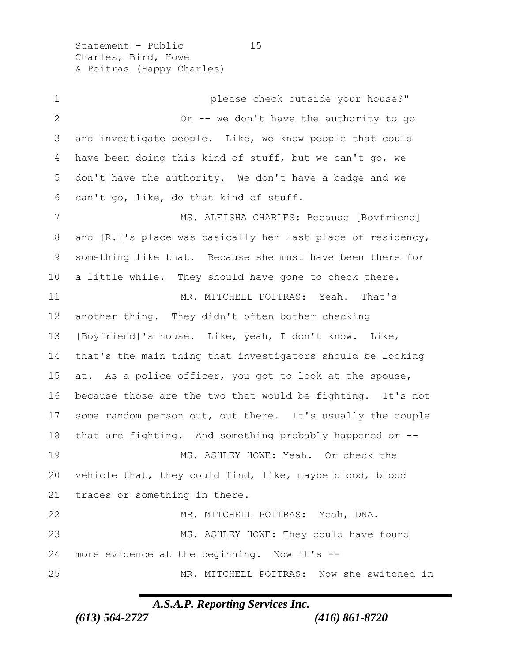Statement - Public 15 Charles, Bird, Howe & Poitras (Happy Charles)

 please check outside your house?" Or -- we don't have the authority to go and investigate people. Like, we know people that could have been doing this kind of stuff, but we can't go, we don't have the authority. We don't have a badge and we can't go, like, do that kind of stuff. 7 MS. ALEISHA CHARLES: Because [Boyfriend] and [R.]'s place was basically her last place of residency, something like that. Because she must have been there for a little while. They should have gone to check there. MR. MITCHELL POITRAS: Yeah. That's another thing. They didn't often bother checking [Boyfriend]'s house. Like, yeah, I don't know. Like, that's the main thing that investigators should be looking at. As a police officer, you got to look at the spouse, because those are the two that would be fighting. It's not 17 some random person out, out there. It's usually the couple that are fighting. And something probably happened or -- 19 MS. ASHLEY HOWE: Yeah. Or check the vehicle that, they could find, like, maybe blood, blood traces or something in there. MR. MITCHELL POITRAS: Yeah, DNA. MS. ASHLEY HOWE: They could have found more evidence at the beginning. Now it's -- MR. MITCHELL POITRAS: Now she switched in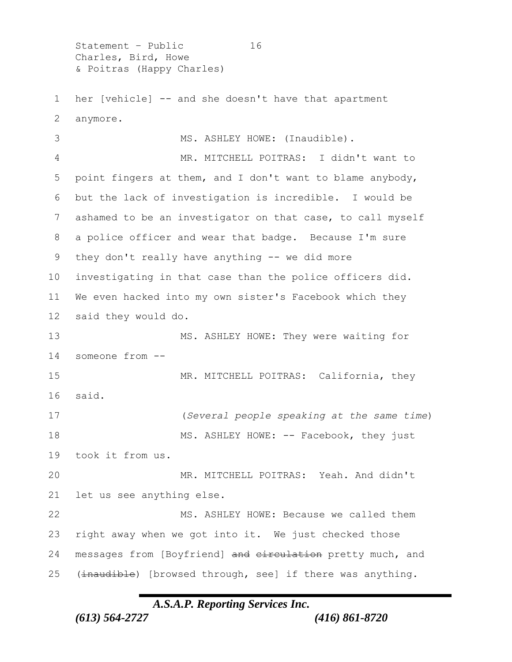Statement - Public 16 Charles, Bird, Howe & Poitras (Happy Charles)

 her [vehicle] -- and she doesn't have that apartment anymore.

 MS. ASHLEY HOWE: (Inaudible). MR. MITCHELL POITRAS: I didn't want to point fingers at them, and I don't want to blame anybody, but the lack of investigation is incredible. I would be ashamed to be an investigator on that case, to call myself a police officer and wear that badge. Because I'm sure 9 they don't really have anything -- we did more investigating in that case than the police officers did. We even hacked into my own sister's Facebook which they said they would do. MS. ASHLEY HOWE: They were waiting for someone from -- 15 MR. MITCHELL POITRAS: California, they said. (*Several people speaking at the same time*) 18 MS. ASHLEY HOWE: -- Facebook, they just took it from us. MR. MITCHELL POITRAS: Yeah. And didn't let us see anything else. MS. ASHLEY HOWE: Because we called them right away when we got into it. We just checked those 24 messages from [Boyfriend] and circulation pretty much, and 25 (inaudible) [browsed through, see] if there was anything.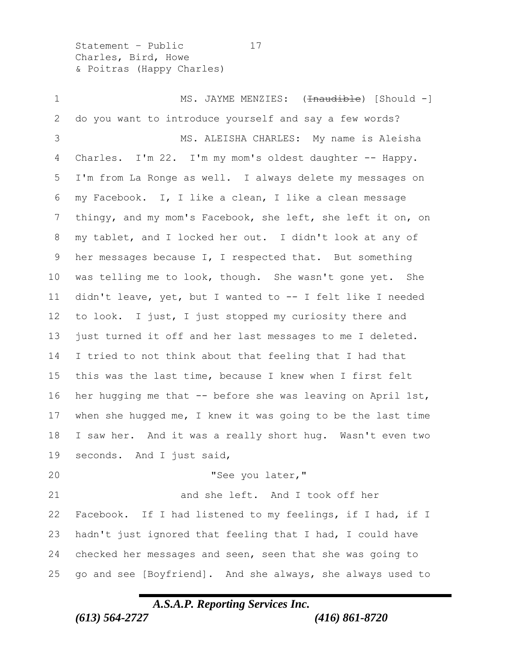Statement - Public 17 Charles, Bird, Howe & Poitras (Happy Charles)

1 MS. JAYME MENZIES: (<del>Inaudible</del>) [Should -] do you want to introduce yourself and say a few words? MS. ALEISHA CHARLES: My name is Aleisha 4 Charles. I'm 22. I'm my mom's oldest daughter -- Happy. I'm from La Ronge as well. I always delete my messages on my Facebook. I, I like a clean, I like a clean message thingy, and my mom's Facebook, she left, she left it on, on my tablet, and I locked her out. I didn't look at any of 9 her messages because I, I respected that. But something was telling me to look, though. She wasn't gone yet. She didn't leave, yet, but I wanted to -- I felt like I needed to look. I just, I just stopped my curiosity there and just turned it off and her last messages to me I deleted. I tried to not think about that feeling that I had that this was the last time, because I knew when I first felt her hugging me that -- before she was leaving on April 1st, when she hugged me, I knew it was going to be the last time I saw her. And it was a really short hug. Wasn't even two seconds. And I just said, "See you later," 21 and she left. And I took off her Facebook. If I had listened to my feelings, if I had, if I hadn't just ignored that feeling that I had, I could have checked her messages and seen, seen that she was going to go and see [Boyfriend]. And she always, she always used to

### *A.S.A.P. Reporting Services Inc.*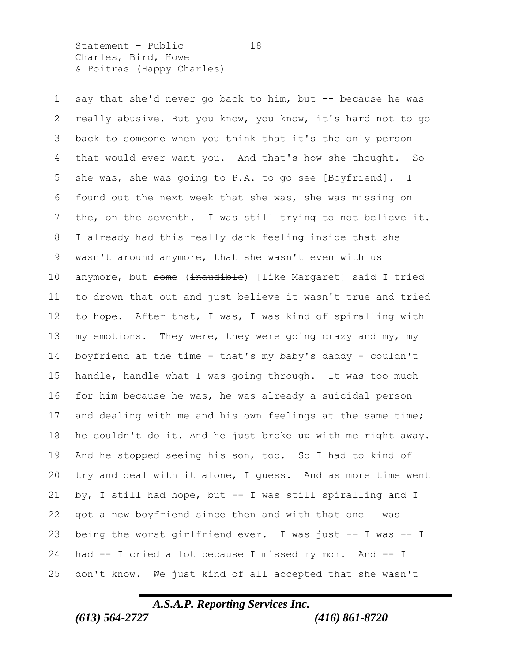Statement - Public 18 Charles, Bird, Howe & Poitras (Happy Charles)

 say that she'd never go back to him, but -- because he was really abusive. But you know, you know, it's hard not to go back to someone when you think that it's the only person that would ever want you. And that's how she thought. So she was, she was going to P.A. to go see [Boyfriend]. I found out the next week that she was, she was missing on the, on the seventh. I was still trying to not believe it. I already had this really dark feeling inside that she wasn't around anymore, that she wasn't even with us 10 anymore, but some (inaudible) [like Margaret] said I tried to drown that out and just believe it wasn't true and tried to hope. After that, I was, I was kind of spiralling with 13 my emotions. They were, they were going crazy and my, my boyfriend at the time - that's my baby's daddy - couldn't handle, handle what I was going through. It was too much for him because he was, he was already a suicidal person 17 and dealing with me and his own feelings at the same time; he couldn't do it. And he just broke up with me right away. And he stopped seeing his son, too. So I had to kind of try and deal with it alone, I guess. And as more time went by, I still had hope, but -- I was still spiralling and I got a new boyfriend since then and with that one I was being the worst girlfriend ever. I was just -- I was -- I had -- I cried a lot because I missed my mom. And -- I don't know. We just kind of all accepted that she wasn't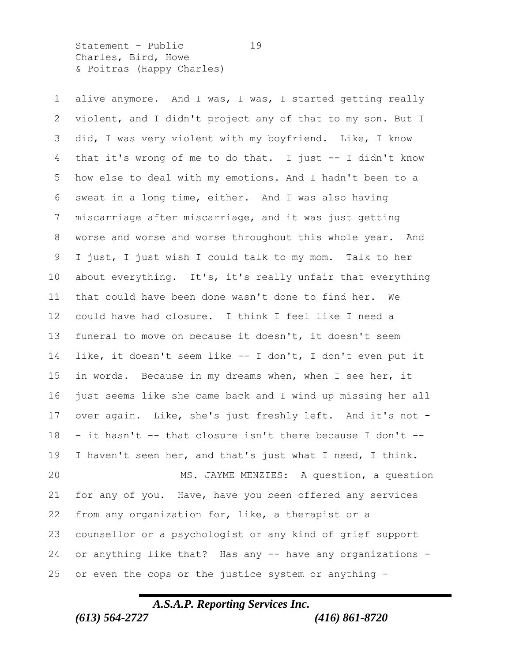Statement - Public 19 Charles, Bird, Howe & Poitras (Happy Charles)

 alive anymore. And I was, I was, I started getting really violent, and I didn't project any of that to my son. But I did, I was very violent with my boyfriend. Like, I know that it's wrong of me to do that. I just -- I didn't know how else to deal with my emotions. And I hadn't been to a sweat in a long time, either. And I was also having miscarriage after miscarriage, and it was just getting worse and worse and worse throughout this whole year. And I just, I just wish I could talk to my mom. Talk to her about everything. It's, it's really unfair that everything that could have been done wasn't done to find her. We could have had closure. I think I feel like I need a funeral to move on because it doesn't, it doesn't seem like, it doesn't seem like -- I don't, I don't even put it in words. Because in my dreams when, when I see her, it just seems like she came back and I wind up missing her all over again. Like, she's just freshly left. And it's not - - it hasn't  $-$  that closure isn't there because I don't  $-$  I haven't seen her, and that's just what I need, I think. MS. JAYME MENZIES: A question, a question for any of you. Have, have you been offered any services from any organization for, like, a therapist or a counsellor or a psychologist or any kind of grief support or anything like that? Has any -- have any organizations - or even the cops or the justice system or anything -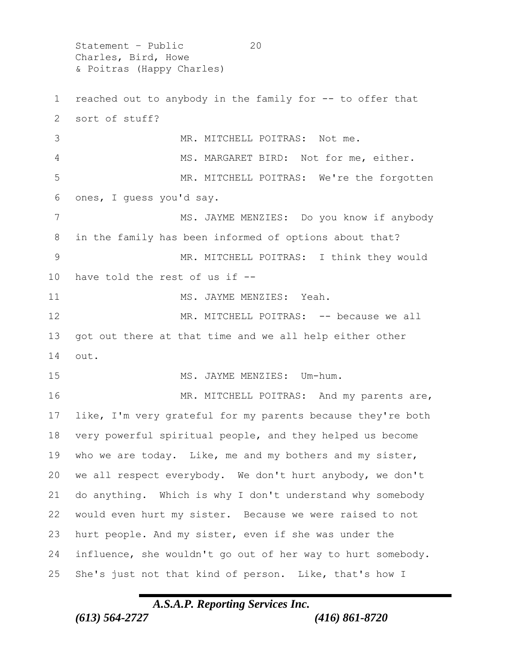Statement - Public 20 Charles, Bird, Howe & Poitras (Happy Charles)

 reached out to anybody in the family for -- to offer that sort of stuff? 3 MR. MITCHELL POITRAS: Not me. MS. MARGARET BIRD: Not for me, either. MR. MITCHELL POITRAS: We're the forgotten ones, I guess you'd say. 7 MS. JAYME MENZIES: Do you know if anybody in the family has been informed of options about that? 9 MR. MITCHELL POITRAS: I think they would have told the rest of us if -- 11 MS. JAYME MENZIES: Yeah. MR. MITCHELL POITRAS: -- because we all got out there at that time and we all help either other out. 15 MS. JAYME MENZIES: Um-hum. 16 MR. MITCHELL POITRAS: And my parents are, like, I'm very grateful for my parents because they're both very powerful spiritual people, and they helped us become who we are today. Like, me and my bothers and my sister, we all respect everybody. We don't hurt anybody, we don't do anything. Which is why I don't understand why somebody would even hurt my sister. Because we were raised to not hurt people. And my sister, even if she was under the influence, she wouldn't go out of her way to hurt somebody. She's just not that kind of person. Like, that's how I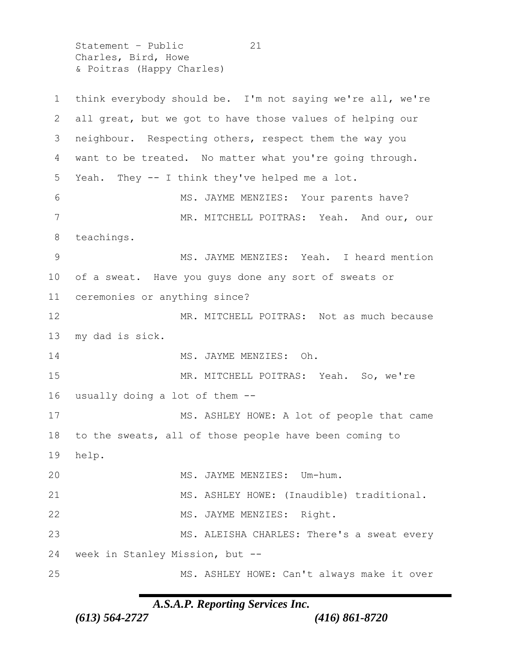Statement - Public 21 Charles, Bird, Howe & Poitras (Happy Charles)

 think everybody should be. I'm not saying we're all, we're all great, but we got to have those values of helping our neighbour. Respecting others, respect them the way you want to be treated. No matter what you're going through. Yeah. They -- I think they've helped me a lot. 6 MS. JAYME MENZIES: Your parents have? 7 MR. MITCHELL POITRAS: Yeah. And our, our teachings. MS. JAYME MENZIES: Yeah. I heard mention of a sweat. Have you guys done any sort of sweats or ceremonies or anything since? 12 MR. MITCHELL POITRAS: Not as much because my dad is sick. 14 MS. JAYME MENZIES: Oh. MR. MITCHELL POITRAS: Yeah. So, we're usually doing a lot of them -- 17 MS. ASHLEY HOWE: A lot of people that came to the sweats, all of those people have been coming to help. MS. JAYME MENZIES: Um-hum. MS. ASHLEY HOWE: (Inaudible) traditional. 22 MS. JAYME MENZIES: Right. MS. ALEISHA CHARLES: There's a sweat every week in Stanley Mission, but -- MS. ASHLEY HOWE: Can't always make it over

#### *A.S.A.P. Reporting Services Inc.*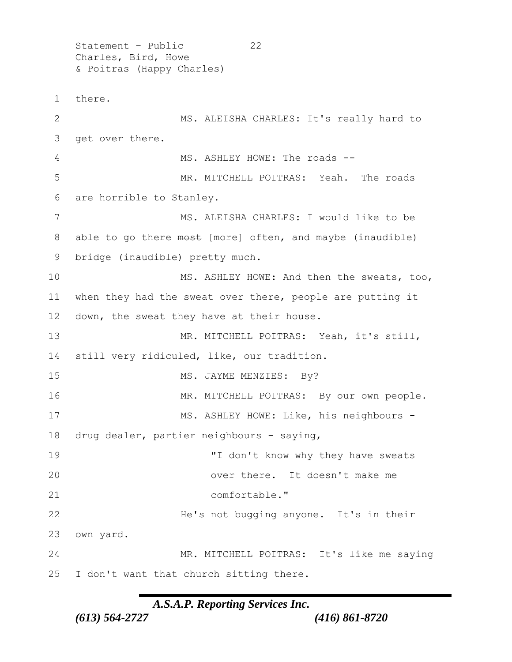Statement - Public 22 Charles, Bird, Howe & Poitras (Happy Charles) there. MS. ALEISHA CHARLES: It's really hard to get over there. 4 MS. ASHLEY HOWE: The roads -- MR. MITCHELL POITRAS: Yeah. The roads are horrible to Stanley. MS. ALEISHA CHARLES: I would like to be 8 able to go there most [more] often, and maybe (inaudible) bridge (inaudible) pretty much. MS. ASHLEY HOWE: And then the sweats, too, when they had the sweat over there, people are putting it down, the sweat they have at their house. MR. MITCHELL POITRAS: Yeah, it's still, still very ridiculed, like, our tradition. 15 MS. JAYME MENZIES: By? 16 MR. MITCHELL POITRAS: By our own people. 17 MS. ASHLEY HOWE: Like, his neighbours - drug dealer, partier neighbours - saying, 19 T don't know why they have sweats over there. It doesn't make me comfortable." He's not bugging anyone. It's in their own yard. MR. MITCHELL POITRAS: It's like me saying I don't want that church sitting there.

#### *A.S.A.P. Reporting Services Inc.*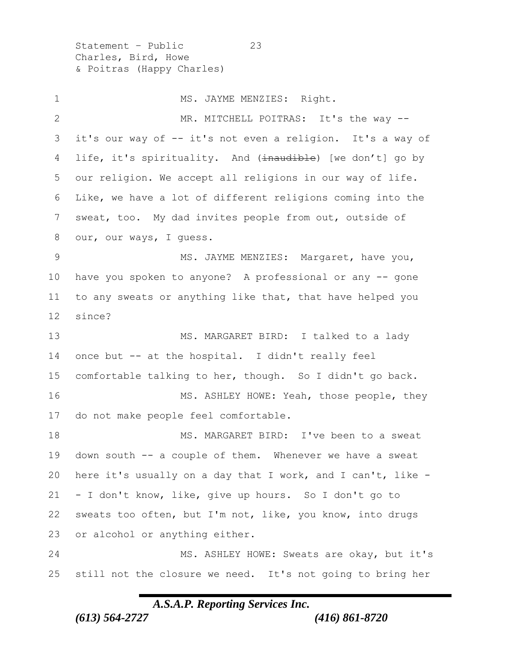Statement – Public 23 Charles, Bird, Howe & Poitras (Happy Charles)

1 MS. JAYME MENZIES: Right. 2 MR. MITCHELL POITRAS: It's the way -- it's our way of -- it's not even a religion. It's a way of 4 life, it's spirituality. And (inaudible) [we don't] go by our religion. We accept all religions in our way of life. Like, we have a lot of different religions coming into the sweat, too. My dad invites people from out, outside of 8 our, our ways, I quess. 9 MS. JAYME MENZIES: Margaret, have you, have you spoken to anyone? A professional or any -- gone to any sweats or anything like that, that have helped you 12 since? 13 MS. MARGARET BIRD: I talked to a lady once but -- at the hospital. I didn't really feel comfortable talking to her, though. So I didn't go back. 16 MS. ASHLEY HOWE: Yeah, those people, they do not make people feel comfortable. MS. MARGARET BIRD: I've been to a sweat down south -- a couple of them. Whenever we have a sweat here it's usually on a day that I work, and I can't, like - - I don't know, like, give up hours. So I don't go to sweats too often, but I'm not, like, you know, into drugs or alcohol or anything either. MS. ASHLEY HOWE: Sweats are okay, but it's still not the closure we need. It's not going to bring her

# *A.S.A.P. Reporting Services Inc.*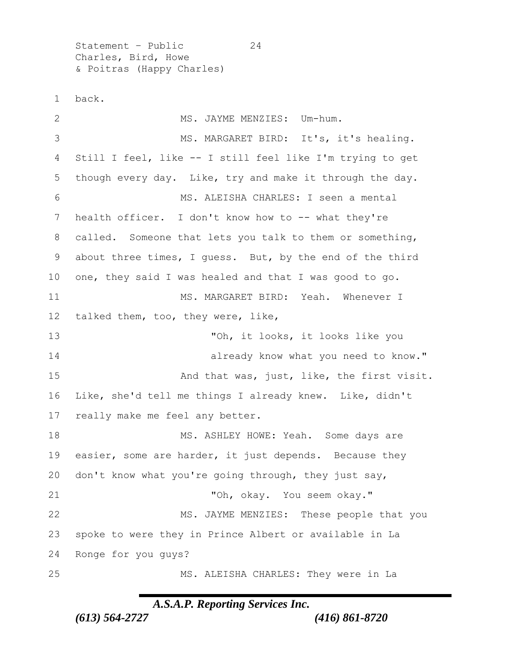Statement – Public 24 Charles, Bird, Howe & Poitras (Happy Charles)

back.

2 MS. JAYME MENZIES: Um-hum. MS. MARGARET BIRD: It's, it's healing. Still I feel, like -- I still feel like I'm trying to get though every day. Like, try and make it through the day. MS. ALEISHA CHARLES: I seen a mental health officer. I don't know how to -- what they're called. Someone that lets you talk to them or something, about three times, I guess. But, by the end of the third one, they said I was healed and that I was good to go. MS. MARGARET BIRD: Yeah. Whenever I talked them, too, they were, like, "Oh, it looks, it looks like you **already know what you need to know.**" 15 And that was, just, like, the first visit. Like, she'd tell me things I already knew. Like, didn't really make me feel any better. 18 MS. ASHLEY HOWE: Yeah. Some days are easier, some are harder, it just depends. Because they don't know what you're going through, they just say, "Oh, okay. You seem okay." 22 MS. JAYME MENZIES: These people that you spoke to were they in Prince Albert or available in La Ronge for you guys? MS. ALEISHA CHARLES: They were in La

### *A.S.A.P. Reporting Services Inc.*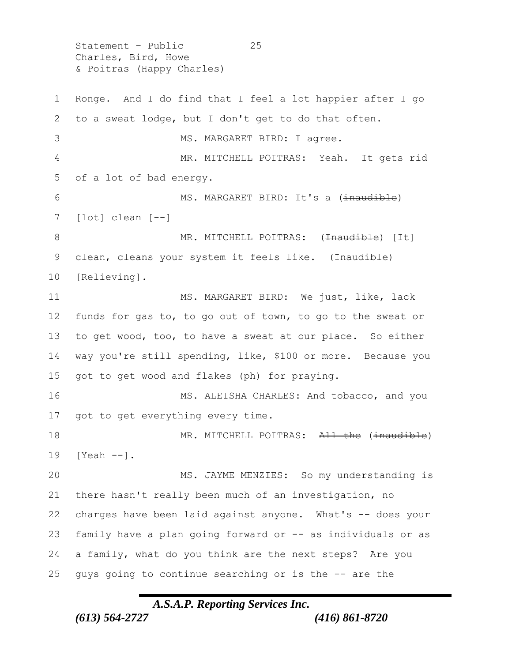Statement – Public 25 Charles, Bird, Howe & Poitras (Happy Charles)

 Ronge. And I do find that I feel a lot happier after I go to a sweat lodge, but I don't get to do that often. 3 MS. MARGARET BIRD: I agree. MR. MITCHELL POITRAS: Yeah. It gets rid of a lot of bad energy. 6 MS. MARGARET BIRD: It's a (inaudible) [lot] clean [--] 8 MR. MITCHELL POITRAS: (<del>Inaudible</del>) [It] 9 clean, cleans your system it feels like. (Inaudible) [Relieving]. 11 MS. MARGARET BIRD: We just, like, lack funds for gas to, to go out of town, to go to the sweat or to get wood, too, to have a sweat at our place. So either way you're still spending, like, \$100 or more. Because you got to get wood and flakes (ph) for praying. 16 MS. ALEISHA CHARLES: And tobacco, and you 17 got to get everything every time. 18 MR. MITCHELL POITRAS: All the (inaudible) [Yeah --]. MS. JAYME MENZIES: So my understanding is there hasn't really been much of an investigation, no charges have been laid against anyone. What's -- does your family have a plan going forward or -- as individuals or as a family, what do you think are the next steps? Are you guys going to continue searching or is the -- are the

# *A.S.A.P. Reporting Services Inc.*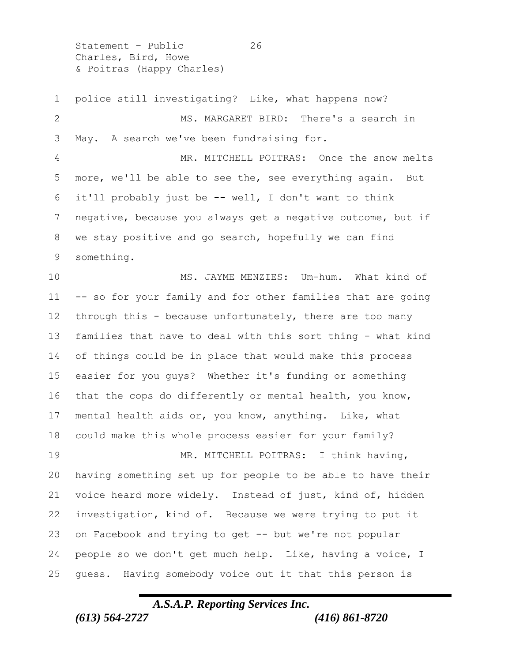Statement - Public 26 Charles, Bird, Howe & Poitras (Happy Charles)

 police still investigating? Like, what happens now? MS. MARGARET BIRD: There's a search in May. A search we've been fundraising for. MR. MITCHELL POITRAS: Once the snow melts more, we'll be able to see the, see everything again. But it'll probably just be -- well, I don't want to think negative, because you always get a negative outcome, but if we stay positive and go search, hopefully we can find something. MS. JAYME MENZIES: Um-hum. What kind of -- so for your family and for other families that are going through this - because unfortunately, there are too many families that have to deal with this sort thing - what kind of things could be in place that would make this process easier for you guys? Whether it's funding or something that the cops do differently or mental health, you know, mental health aids or, you know, anything. Like, what could make this whole process easier for your family? MR. MITCHELL POITRAS: I think having, having something set up for people to be able to have their voice heard more widely. Instead of just, kind of, hidden investigation, kind of. Because we were trying to put it on Facebook and trying to get -- but we're not popular people so we don't get much help. Like, having a voice, I guess. Having somebody voice out it that this person is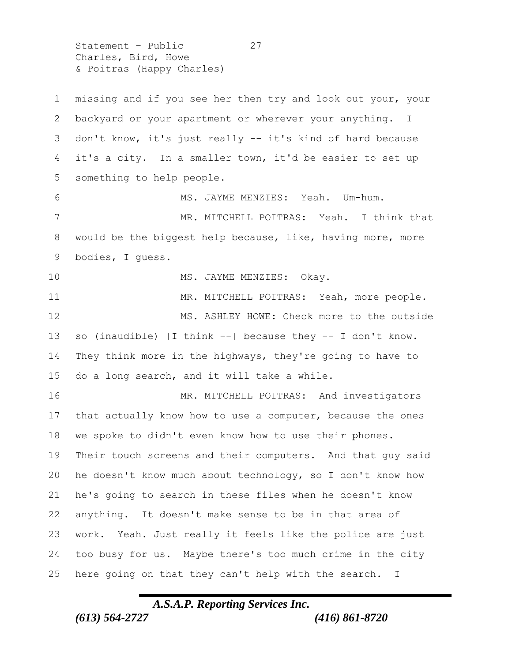Statement - Public 27 Charles, Bird, Howe & Poitras (Happy Charles)

 missing and if you see her then try and look out your, your backyard or your apartment or wherever your anything. I don't know, it's just really -- it's kind of hard because it's a city. In a smaller town, it'd be easier to set up something to help people. 6 MS. JAYME MENZIES: Yeah. Um-hum. MR. MITCHELL POITRAS: Yeah. I think that would be the biggest help because, like, having more, more bodies, I guess. 10 MS. JAYME MENZIES: Okay. 11 MR. MITCHELL POITRAS: Yeah, more people. 12 MS. ASHLEY HOWE: Check more to the outside 13 so (inaudible) [I think --] because they -- I don't know. They think more in the highways, they're going to have to do a long search, and it will take a while. 16 MR. MITCHELL POITRAS: And investigators that actually know how to use a computer, because the ones we spoke to didn't even know how to use their phones. Their touch screens and their computers. And that guy said he doesn't know much about technology, so I don't know how he's going to search in these files when he doesn't know anything. It doesn't make sense to be in that area of work. Yeah. Just really it feels like the police are just too busy for us. Maybe there's too much crime in the city here going on that they can't help with the search. I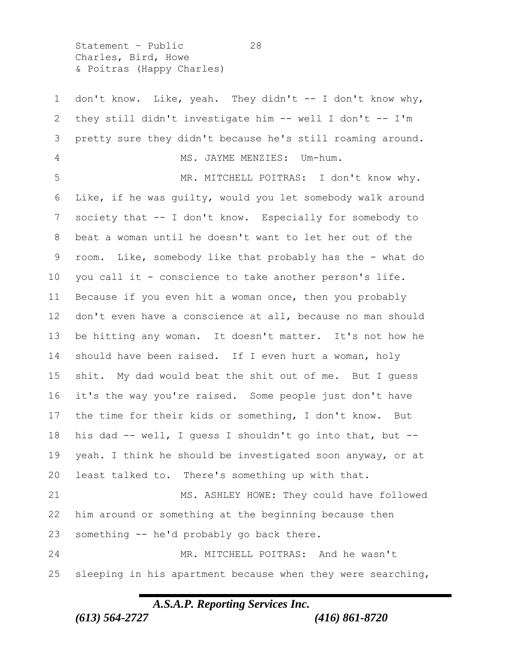Statement - Public 28 Charles, Bird, Howe & Poitras (Happy Charles)

1 don't know. Like, yeah. They didn't -- I don't know why, they still didn't investigate him -- well I don't -- I'm pretty sure they didn't because he's still roaming around. MS. JAYME MENZIES: Um-hum. MR. MITCHELL POITRAS: I don't know why. Like, if he was guilty, would you let somebody walk around society that -- I don't know. Especially for somebody to beat a woman until he doesn't want to let her out of the room. Like, somebody like that probably has the - what do you call it - conscience to take another person's life. Because if you even hit a woman once, then you probably don't even have a conscience at all, because no man should be hitting any woman. It doesn't matter. It's not how he should have been raised. If I even hurt a woman, holy shit. My dad would beat the shit out of me. But I guess it's the way you're raised. Some people just don't have the time for their kids or something, I don't know. But his dad -- well, I guess I shouldn't go into that, but -- yeah. I think he should be investigated soon anyway, or at least talked to. There's something up with that. MS. ASHLEY HOWE: They could have followed him around or something at the beginning because then something -- he'd probably go back there. MR. MITCHELL POITRAS: And he wasn't sleeping in his apartment because when they were searching,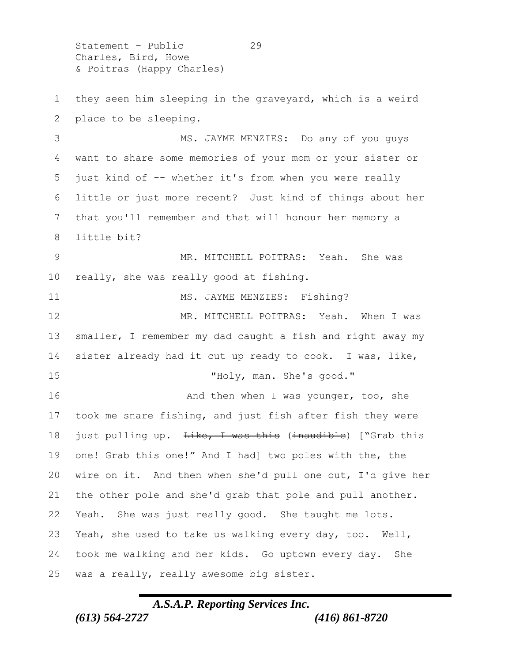Statement – Public 29 Charles, Bird, Howe & Poitras (Happy Charles)

 they seen him sleeping in the graveyard, which is a weird place to be sleeping.

 MS. JAYME MENZIES: Do any of you guys want to share some memories of your mom or your sister or just kind of -- whether it's from when you were really little or just more recent? Just kind of things about her that you'll remember and that will honour her memory a little bit?

 MR. MITCHELL POITRAS: Yeah. She was really, she was really good at fishing.

11 MS. JAYME MENZIES: Fishing? MR. MITCHELL POITRAS: Yeah. When I was smaller, I remember my dad caught a fish and right away my sister already had it cut up ready to cook. I was, like, 15 "Holy, man. She's good." 16 And then when I was younger, too, she took me snare fishing, and just fish after fish they were 18 just pulling up. <del>Like, I was this</del> (inaudible) ["Grab this one! Grab this one!" And I had] two poles with the, the wire on it. And then when she'd pull one out, I'd give her the other pole and she'd grab that pole and pull another. Yeah. She was just really good. She taught me lots. Yeah, she used to take us walking every day, too. Well, took me walking and her kids. Go uptown every day. She was a really, really awesome big sister.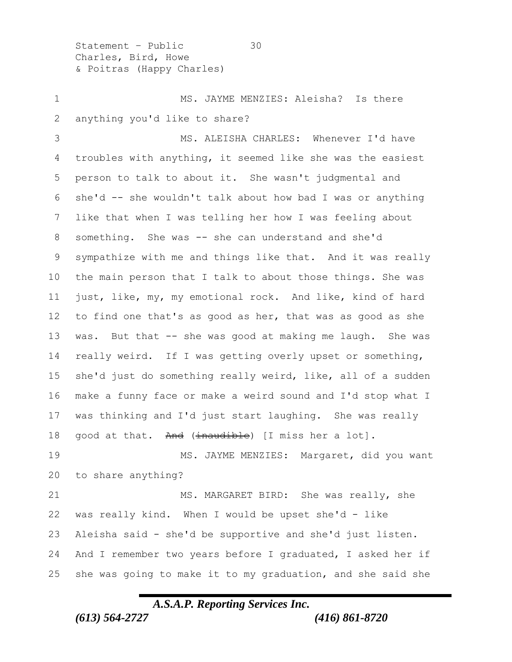Statement – Public 30 Charles, Bird, Howe & Poitras (Happy Charles)

1 MS. JAYME MENZIES: Aleisha? Is there anything you'd like to share?

 MS. ALEISHA CHARLES: Whenever I'd have troubles with anything, it seemed like she was the easiest person to talk to about it. She wasn't judgmental and she'd -- she wouldn't talk about how bad I was or anything like that when I was telling her how I was feeling about something. She was -- she can understand and she'd sympathize with me and things like that. And it was really the main person that I talk to about those things. She was just, like, my, my emotional rock. And like, kind of hard to find one that's as good as her, that was as good as she 13 was. But that -- she was good at making me laugh. She was really weird. If I was getting overly upset or something, she'd just do something really weird, like, all of a sudden make a funny face or make a weird sound and I'd stop what I was thinking and I'd just start laughing. She was really 18 good at that. And  $(\frac{1}{10})$  (I miss her a lot]. 19 MS. JAYME MENZIES: Margaret, did you want to share anything? 21 MS. MARGARET BIRD: She was really, she was really kind. When I would be upset she'd - like Aleisha said - she'd be supportive and she'd just listen. And I remember two years before I graduated, I asked her if

#### *A.S.A.P. Reporting Services Inc.*

she was going to make it to my graduation, and she said she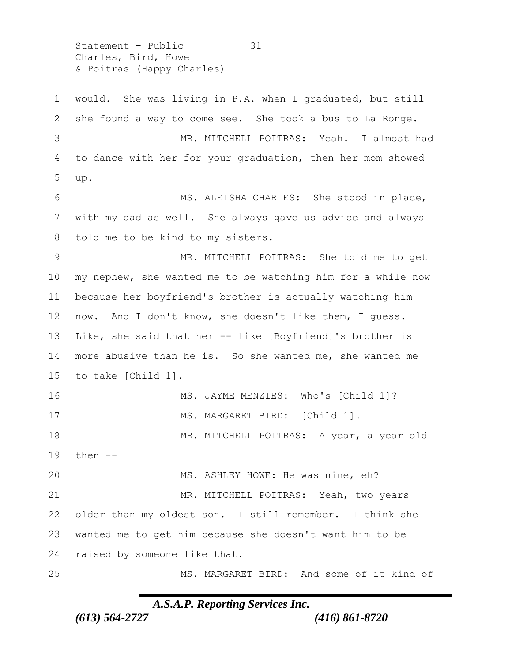Statement – Public 31 Charles, Bird, Howe & Poitras (Happy Charles)

 would. She was living in P.A. when I graduated, but still she found a way to come see. She took a bus to La Ronge. MR. MITCHELL POITRAS: Yeah. I almost had to dance with her for your graduation, then her mom showed up. MS. ALEISHA CHARLES: She stood in place, with my dad as well. She always gave us advice and always told me to be kind to my sisters. MR. MITCHELL POITRAS: She told me to get my nephew, she wanted me to be watching him for a while now because her boyfriend's brother is actually watching him now. And I don't know, she doesn't like them, I guess. Like, she said that her -- like [Boyfriend]'s brother is more abusive than he is. So she wanted me, she wanted me to take [Child 1]. MS. JAYME MENZIES: Who's [Child 1]? 17 MS. MARGARET BIRD: [Child 1]. MR. MITCHELL POITRAS: A year, a year old then -- MS. ASHLEY HOWE: He was nine, eh? MR. MITCHELL POITRAS: Yeah, two years older than my oldest son. I still remember. I think she wanted me to get him because she doesn't want him to be raised by someone like that. MS. MARGARET BIRD: And some of it kind of

### *A.S.A.P. Reporting Services Inc.*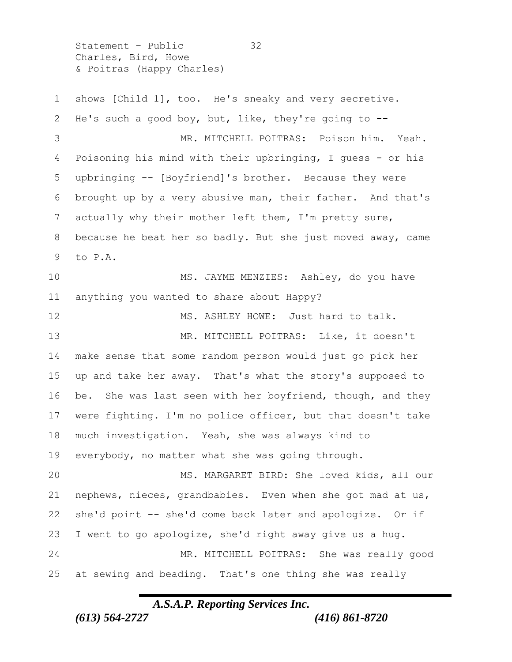Statement – Public 32 Charles, Bird, Howe & Poitras (Happy Charles)

 shows [Child 1], too. He's sneaky and very secretive. He's such a good boy, but, like, they're going to -- MR. MITCHELL POITRAS: Poison him. Yeah. Poisoning his mind with their upbringing, I guess - or his upbringing -- [Boyfriend]'s brother. Because they were brought up by a very abusive man, their father. And that's actually why their mother left them, I'm pretty sure, because he beat her so badly. But she just moved away, came to P.A. MS. JAYME MENZIES: Ashley, do you have anything you wanted to share about Happy? 12 MS. ASHLEY HOWE: Just hard to talk. MR. MITCHELL POITRAS: Like, it doesn't make sense that some random person would just go pick her up and take her away. That's what the story's supposed to be. She was last seen with her boyfriend, though, and they were fighting. I'm no police officer, but that doesn't take much investigation. Yeah, she was always kind to everybody, no matter what she was going through. MS. MARGARET BIRD: She loved kids, all our nephews, nieces, grandbabies. Even when she got mad at us, she'd point -- she'd come back later and apologize. Or if I went to go apologize, she'd right away give us a hug. MR. MITCHELL POITRAS: She was really good at sewing and beading. That's one thing she was really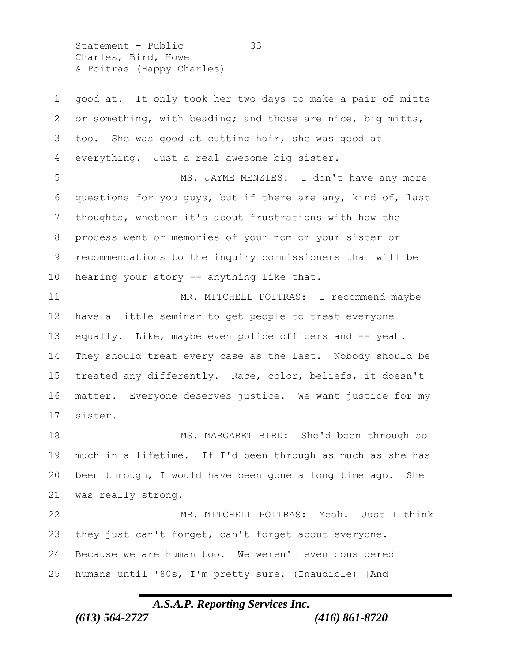Statement – Public 33 Charles, Bird, Howe & Poitras (Happy Charles)

 good at. It only took her two days to make a pair of mitts or something, with beading; and those are nice, big mitts, too. She was good at cutting hair, she was good at everything. Just a real awesome big sister. 5 MS. JAYME MENZIES: I don't have any more questions for you guys, but if there are any, kind of, last thoughts, whether it's about frustrations with how the process went or memories of your mom or your sister or recommendations to the inquiry commissioners that will be 10 hearing your story -- anything like that. MR. MITCHELL POITRAS: I recommend maybe have a little seminar to get people to treat everyone 13 equally. Like, maybe even police officers and -- yeah. They should treat every case as the last. Nobody should be treated any differently. Race, color, beliefs, it doesn't matter. Everyone deserves justice. We want justice for my sister. MS. MARGARET BIRD: She'd been through so much in a lifetime. If I'd been through as much as she has been through, I would have been gone a long time ago. She was really strong. MR. MITCHELL POITRAS: Yeah. Just I think they just can't forget, can't forget about everyone. Because we are human too. We weren't even considered 25 humans until '80s, I'm pretty sure. (Inaudible) [And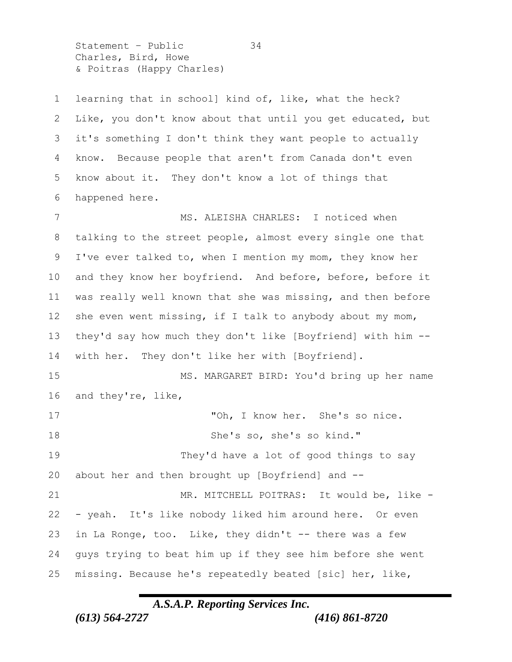Statement - Public 34 Charles, Bird, Howe & Poitras (Happy Charles)

 learning that in school] kind of, like, what the heck? Like, you don't know about that until you get educated, but it's something I don't think they want people to actually know. Because people that aren't from Canada don't even know about it. They don't know a lot of things that happened here. 7 MS. ALEISHA CHARLES: I noticed when talking to the street people, almost every single one that I've ever talked to, when I mention my mom, they know her 10 and they know her boyfriend. And before, before, before it was really well known that she was missing, and then before 12 she even went missing, if I talk to anybody about my mom, they'd say how much they don't like [Boyfriend] with him -- with her. They don't like her with [Boyfriend]. MS. MARGARET BIRD: You'd bring up her name and they're, like, "Oh, I know her. She's so nice. She's so, she's so kind." They'd have a lot of good things to say about her and then brought up [Boyfriend] and -- 21 MR. MITCHELL POITRAS: It would be, like - - yeah. It's like nobody liked him around here. Or even in La Ronge, too. Like, they didn't -- there was a few guys trying to beat him up if they see him before she went missing. Because he's repeatedly beated [sic] her, like,

#### *A.S.A.P. Reporting Services Inc.*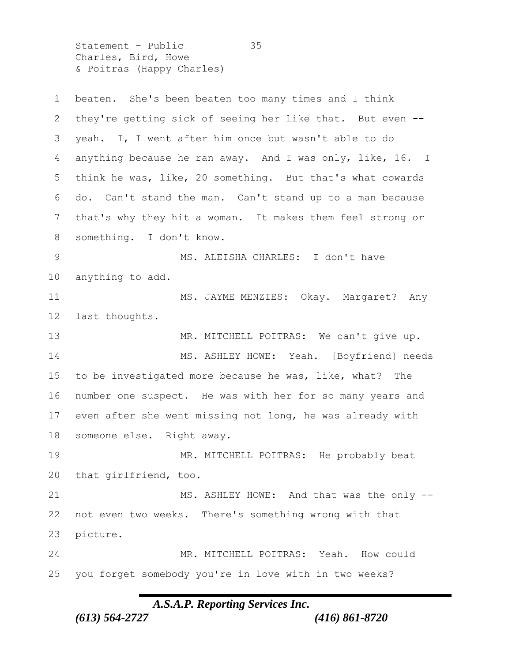Statement – Public 35 Charles, Bird, Howe & Poitras (Happy Charles)

 beaten. She's been beaten too many times and I think they're getting sick of seeing her like that. But even -- yeah. I, I went after him once but wasn't able to do anything because he ran away. And I was only, like, 16. I think he was, like, 20 something. But that's what cowards do. Can't stand the man. Can't stand up to a man because that's why they hit a woman. It makes them feel strong or something. I don't know. 9 MS. ALEISHA CHARLES: I don't have anything to add. MS. JAYME MENZIES: Okay. Margaret? Any last thoughts. MR. MITCHELL POITRAS: We can't give up. 14 MS. ASHLEY HOWE: Yeah. [Boyfriend] needs to be investigated more because he was, like, what? The number one suspect. He was with her for so many years and even after she went missing not long, he was already with someone else. Right away. MR. MITCHELL POITRAS: He probably beat that girlfriend, too. 21 MS. ASHLEY HOWE: And that was the only -- not even two weeks. There's something wrong with that picture. MR. MITCHELL POITRAS: Yeah. How could you forget somebody you're in love with in two weeks?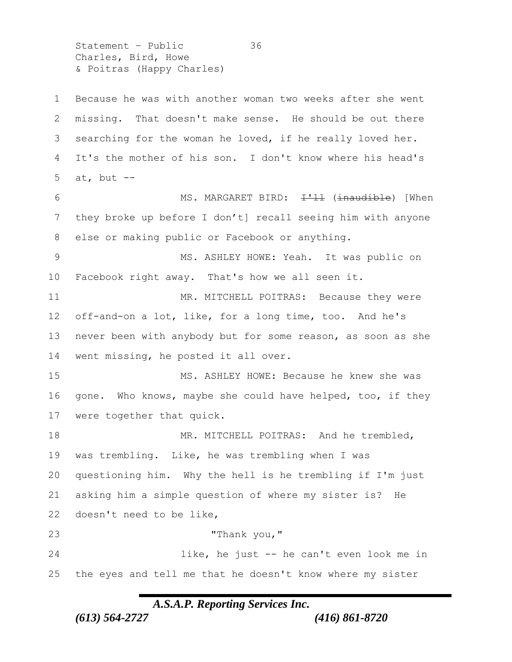Statement - Public 36 Charles, Bird, Howe & Poitras (Happy Charles)

 Because he was with another woman two weeks after she went missing. That doesn't make sense. He should be out there searching for the woman he loved, if he really loved her. It's the mother of his son. I don't know where his head's 5 at, but  $--$ 6 MS. MARGARET BIRD: <del>I'll</del> (<del>inaudible</del>) [When they broke up before I don't] recall seeing him with anyone else or making public or Facebook or anything. MS. ASHLEY HOWE: Yeah. It was public on Facebook right away. That's how we all seen it. 11 MR. MITCHELL POITRAS: Because they were off-and-on a lot, like, for a long time, too. And he's never been with anybody but for some reason, as soon as she went missing, he posted it all over. MS. ASHLEY HOWE: Because he knew she was gone. Who knows, maybe she could have helped, too, if they were together that quick. 18 MR. MITCHELL POITRAS: And he trembled, was trembling. Like, he was trembling when I was questioning him. Why the hell is he trembling if I'm just asking him a simple question of where my sister is? He doesn't need to be like, "Thank you," like, he just -- he can't even look me in the eyes and tell me that he doesn't know where my sister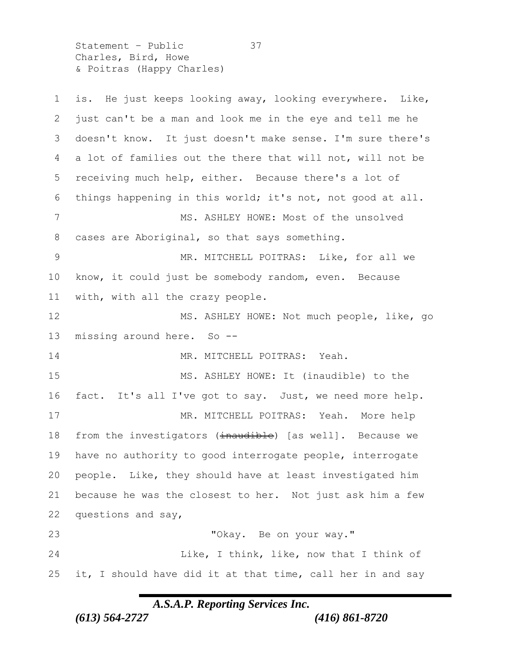Statement – Public 37 Charles, Bird, Howe & Poitras (Happy Charles)

 is. He just keeps looking away, looking everywhere. Like, just can't be a man and look me in the eye and tell me he doesn't know. It just doesn't make sense. I'm sure there's a lot of families out the there that will not, will not be receiving much help, either. Because there's a lot of things happening in this world; it's not, not good at all. MS. ASHLEY HOWE: Most of the unsolved cases are Aboriginal, so that says something. MR. MITCHELL POITRAS: Like, for all we know, it could just be somebody random, even. Because with, with all the crazy people. 12 MS. ASHLEY HOWE: Not much people, like, go missing around here. So -- 14 MR. MITCHELL POITRAS: Yeah. MS. ASHLEY HOWE: It (inaudible) to the fact. It's all I've got to say. Just, we need more help. 17 MR. MITCHELL POITRAS: Yeah. More help 18 from the investigators (inaudible) [as well]. Because we have no authority to good interrogate people, interrogate people. Like, they should have at least investigated him because he was the closest to her. Not just ask him a few questions and say, "Okay. Be on your way." Like, I think, like, now that I think of 25 it, I should have did it at that time, call her in and say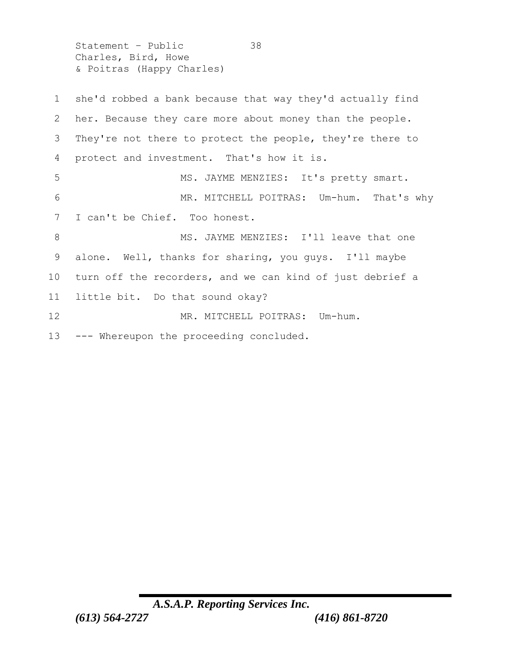Statement - Public 38 Charles, Bird, Howe & Poitras (Happy Charles)

 she'd robbed a bank because that way they'd actually find her. Because they care more about money than the people. They're not there to protect the people, they're there to protect and investment. That's how it is. 5 MS. JAYME MENZIES: It's pretty smart. MR. MITCHELL POITRAS: Um-hum. That's why I can't be Chief. Too honest. 8 MS. JAYME MENZIES: I'll leave that one alone. Well, thanks for sharing, you guys. I'll maybe turn off the recorders, and we can kind of just debrief a little bit. Do that sound okay? 12 MR. MITCHELL POITRAS: Um-hum. --- Whereupon the proceeding concluded.